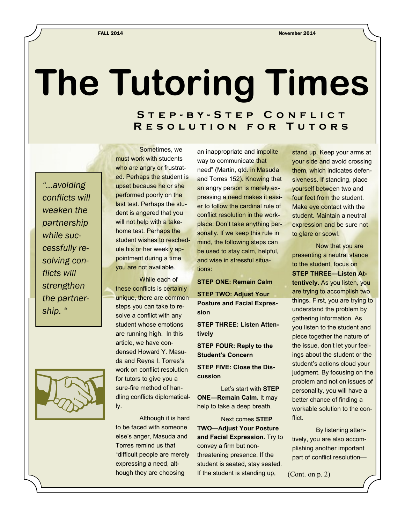## **The Tutoring Times**

## **S t e p - b y - S t e p C o n f l i c t R e s o l u t i o n f o r T u t o r s**

*"...avoiding conflicts will weaken the partnership while successfully resolving conflicts will strengthen the partnership. "*



Sometimes, we must work with students who are angry or frustrated. Perhaps the student is upset because he or she performed poorly on the last test. Perhaps the student is angered that you will not help with a takehome test. Perhaps the student wishes to reschedule his or her weekly appointment during a time you are not available.

While each of these conflicts is certainly unique, there are common steps you can take to resolve a conflict with any student whose emotions are running high. In this article, we have condensed Howard Y. Masuda and Reyna I. Torres's work on conflict resolution for tutors to give you a sure-fire method of handling conflicts diplomatically.

Although it is hard to be faced with someone else's anger, Masuda and Torres remind us that "difficult people are merely expressing a need, although they are choosing

an inappropriate and impolite way to communicate that need" (Martin, qtd. in Masuda and Torres 152). Knowing that an angry person is merely expressing a need makes it easier to follow the cardinal rule of conflict resolution in the workplace: Don't take anything personally. If we keep this rule in mind, the following steps can be used to stay calm, helpful, and wise in stressful situations:

## **STEP ONE: Remain Calm**

**STEP TWO: Adjust Your Posture and Facial Expression** 

**STEP THREE: Listen Attentively**

**STEP FOUR: Reply to the Student's Concern**

**STEP FIVE: Close the Discussion**

Let's start with **STEP ONE—Remain Calm.** It may help to take a deep breath.

Next comes **STEP TWO—Adjust Your Posture and Facial Expression.** Try to convey a firm but nonthreatening presence. If the student is seated, stay seated. If the student is standing up,

stand up. Keep your arms at your side and avoid crossing them, which indicates defensiveness. If standing, place yourself between two and four feet from the student. Make eye contact with the student. Maintain a neutral expression and be sure not to glare or scowl.

Now that you are presenting a neutral stance to the student, focus on **STEP THREE—Listen Attentively.** As you listen, you are trying to accomplish two things. First, you are trying to understand the problem by gathering information. As you listen to the student and piece together the nature of the issue, don't let your feelings about the student or the student's actions cloud your judgment. By focusing on the problem and not on issues of personality, you will have a better chance of finding a workable solution to the conflict.

By listening attentively, you are also accomplishing another important part of conflict resolution—

(Cont. on p. 2)